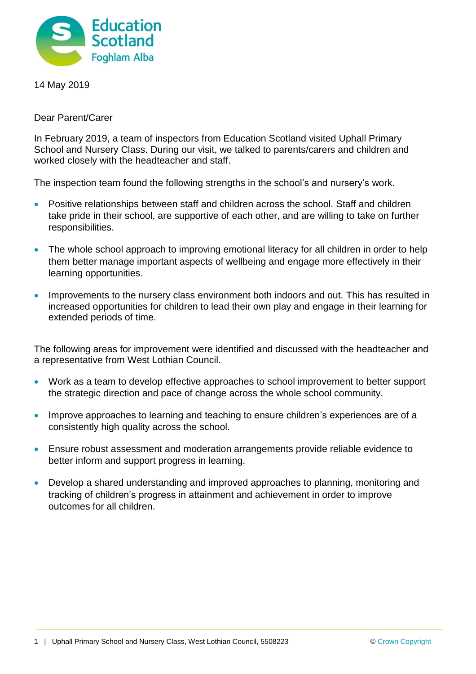

14 May 2019

Dear Parent/Carer

In February 2019, a team of inspectors from Education Scotland visited Uphall Primary School and Nursery Class. During our visit, we talked to parents/carers and children and worked closely with the headteacher and staff.

The inspection team found the following strengths in the school's and nursery's work.

- Positive relationships between staff and children across the school. Staff and children take pride in their school, are supportive of each other, and are willing to take on further responsibilities.
- The whole school approach to improving emotional literacy for all children in order to help them better manage important aspects of wellbeing and engage more effectively in their learning opportunities.
- Improvements to the nursery class environment both indoors and out. This has resulted in increased opportunities for children to lead their own play and engage in their learning for extended periods of time.

The following areas for improvement were identified and discussed with the headteacher and a representative from West Lothian Council.

- Work as a team to develop effective approaches to school improvement to better support the strategic direction and pace of change across the whole school community.
- Improve approaches to learning and teaching to ensure children's experiences are of a consistently high quality across the school.
- Ensure robust assessment and moderation arrangements provide reliable evidence to better inform and support progress in learning.
- Develop a shared understanding and improved approaches to planning, monitoring and tracking of children's progress in attainment and achievement in order to improve outcomes for all children.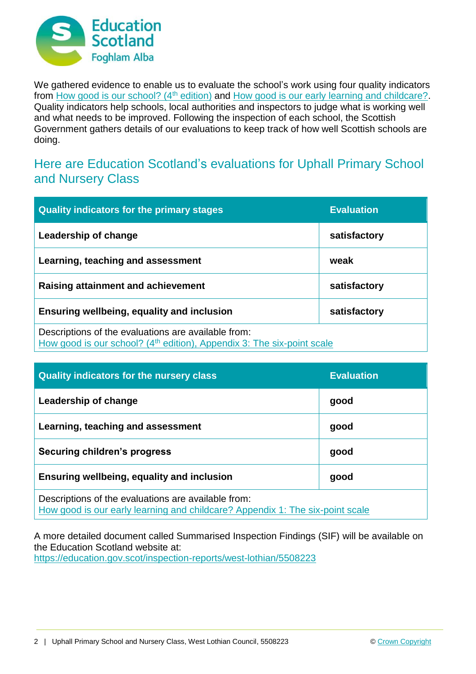

We gathered evidence to enable us to evaluate the school's work using four quality indicators from [How good is our school? \(4](https://education.gov.scot/improvement/Documents/Frameworks_SelfEvaluation/FRWK2_NIHeditHGIOS/FRWK2_HGIOS4.pdf)<sup>th</sup> edition) and [How good is our early learning and childcare?.](https://education.gov.scot/improvement/Documents/Frameworks_SelfEvaluation/FRWK1_NIHeditSelf-evaluationHGIELC/HGIOELC020316Revised.pdf) Quality indicators help schools, local authorities and inspectors to judge what is working well and what needs to be improved. Following the inspection of each school, the Scottish Government gathers details of our evaluations to keep track of how well Scottish schools are doing.

## Here are Education Scotland's evaluations for Uphall Primary School and Nursery Class

| <b>Quality indicators for the primary stages</b>                                                                                          | <b>Evaluation</b> |
|-------------------------------------------------------------------------------------------------------------------------------------------|-------------------|
| Leadership of change                                                                                                                      | satisfactory      |
| Learning, teaching and assessment                                                                                                         | weak              |
| Raising attainment and achievement                                                                                                        | satisfactory      |
| <b>Ensuring wellbeing, equality and inclusion</b>                                                                                         | satisfactory      |
| Descriptions of the evaluations are available from:<br>How good is our school? (4 <sup>th</sup> edition), Appendix 3: The six-point scale |                   |

| <b>Quality indicators for the nursery class</b>                                                                                      | <b>Evaluation</b> |
|--------------------------------------------------------------------------------------------------------------------------------------|-------------------|
| Leadership of change                                                                                                                 | good              |
| Learning, teaching and assessment                                                                                                    | good              |
| <b>Securing children's progress</b>                                                                                                  | good              |
| Ensuring wellbeing, equality and inclusion                                                                                           | good              |
| Descriptions of the evaluations are available from:<br>How good is our early learning and childcare? Appendix 1: The six-point scale |                   |

A more detailed document called Summarised Inspection Findings (SIF) will be available on the Education Scotland website at: <https://education.gov.scot/inspection-reports/west-lothian/5508223>